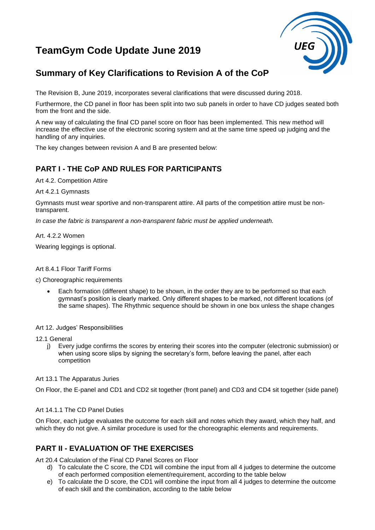# **TeamGym Code Update June 2019**



## **Summary of Key Clarifications to Revision A of the CoP**

The Revision B, June 2019, incorporates several clarifications that were discussed during 2018.

Furthermore, the CD panel in floor has been split into two sub panels in order to have CD judges seated both from the front and the side.

A new way of calculating the final CD panel score on floor has been implemented. This new method will increase the effective use of the electronic scoring system and at the same time speed up judging and the handling of any inquiries.

The key changes between revision A and B are presented below:

## **PART I - THE CoP AND RULES FOR PARTICIPANTS**

Art 4.2. Competition Attire

Art 4.2.1 Gymnasts

Gymnasts must wear sportive and non-transparent attire. All parts of the competition attire must be nontransparent.

*In case the fabric is transparent a non-transparent fabric must be applied underneath.*

Art. 4.2.2 Women

Wearing leggings is optional.

#### Art 8.4.1 Floor Tariff Forms

c) Choreographic requirements

• Each formation (different shape) to be shown, in the order they are to be performed so that each gymnast's position is clearly marked. Only different shapes to be marked, not different locations (of the same shapes). The Rhythmic sequence should be shown in one box unless the shape changes

#### Art 12. Judges' Responsibilities

12.1 General

j) Every judge confirms the scores by entering their scores into the computer (electronic submission) or when using score slips by signing the secretary's form, before leaving the panel, after each competition

#### Art 13.1 The Apparatus Juries

On Floor, the E-panel and CD1 and CD2 sit together (front panel) and CD3 and CD4 sit together (side panel)

#### Art 14.1.1 The CD Panel Duties

On Floor, each judge evaluates the outcome for each skill and notes which they award, which they half, and which they do not give. A similar procedure is used for the choreographic elements and requirements.

## **PART II - EVALUATION OF THE EXERCISES**

Art 20.4 Calculation of the Final CD Panel Scores on Floor

- d) To calculate the C score, the CD1 will combine the input from all 4 judges to determine the outcome of each performed composition element/requirement, according to the table below
- e) To calculate the D score, the CD1 will combine the input from all 4 judges to determine the outcome of each skill and the combination, according to the table below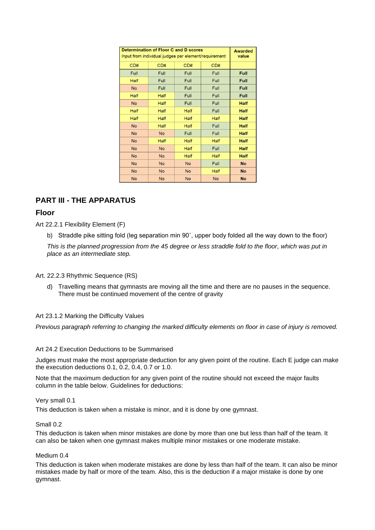| <b>Determination of Floor C and D scores</b><br>Input from individual judges per element/requirement |             |             |             | <b>Awarded</b><br>value |
|------------------------------------------------------------------------------------------------------|-------------|-------------|-------------|-------------------------|
| CD#                                                                                                  | CD#         | CD#         | CD#         |                         |
| Full                                                                                                 | Full        | Full        | Full        | Full                    |
| Half                                                                                                 | Full        | Full        | Full        | Full                    |
| <b>No</b>                                                                                            | Full        | Full        | Full        | Full                    |
| Half                                                                                                 | Half        | Full        | Full        | Full                    |
| <b>No</b>                                                                                            | Half        | Full        | Full        | <b>Half</b>             |
| Half                                                                                                 | Half        | Half        | Full        | <b>Half</b>             |
| <b>Half</b>                                                                                          | <b>Half</b> | <b>Half</b> | <b>Half</b> | <b>Half</b>             |
| <b>No</b>                                                                                            | <b>Half</b> | <b>Half</b> | Full        | <b>Half</b>             |
| <b>No</b>                                                                                            | <b>No</b>   | Full        | Full        | <b>Half</b>             |
| <b>No</b>                                                                                            | <b>Half</b> | <b>Half</b> | Half        | <b>Half</b>             |
| <b>No</b>                                                                                            | <b>No</b>   | <b>Half</b> | Full        | <b>Half</b>             |
| <b>No</b>                                                                                            | No          | Half        | Half        | <b>Half</b>             |
| <b>No</b>                                                                                            | <b>No</b>   | <b>No</b>   | Full        | <b>No</b>               |
| <b>No</b>                                                                                            | <b>No</b>   | <b>No</b>   | Half        | <b>No</b>               |
| <b>No</b>                                                                                            | <b>No</b>   | <b>No</b>   | <b>No</b>   | <b>No</b>               |

## **PART III - THE APPARATUS**

## **Floor**

Art 22.2.1 Flexibility Element (F)

b) Straddle pike sitting fold (leg separation min 90˚, upper body folded all the way down to the floor)

*This is the planned progression from the 45 degree or less straddle fold to the floor, which was put in place as an intermediate step.* 

#### Art. 22.2.3 Rhythmic Sequence (RS)

d) Travelling means that gymnasts are moving all the time and there are no pauses in the sequence. There must be continued movement of the centre of gravity

#### Art 23.1.2 Marking the Difficulty Values

*Previous paragraph referring to changing the marked difficulty elements on floor in case of injury is removed.*

#### Art 24.2 Execution Deductions to be Summarised

Judges must make the most appropriate deduction for any given point of the routine. Each E judge can make the execution deductions 0.1, 0.2, 0.4, 0.7 or 1.0.

Note that the maximum deduction for any given point of the routine should not exceed the major faults column in the table below. Guidelines for deductions:

#### Very small 0.1

This deduction is taken when a mistake is minor, and it is done by one gymnast.

#### Small 0.2

This deduction is taken when minor mistakes are done by more than one but less than half of the team. It can also be taken when one gymnast makes multiple minor mistakes or one moderate mistake.

#### Medium 0.4

This deduction is taken when moderate mistakes are done by less than half of the team. It can also be minor mistakes made by half or more of the team. Also, this is the deduction if a major mistake is done by one gymnast.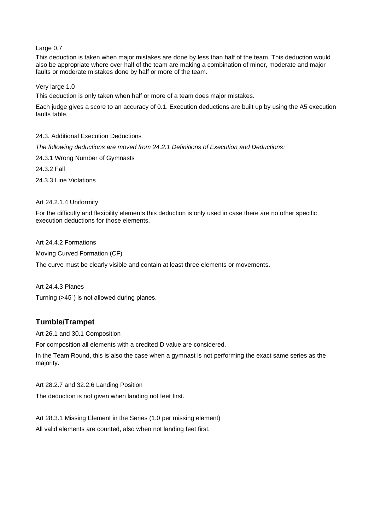Large 0.7

This deduction is taken when major mistakes are done by less than half of the team. This deduction would also be appropriate where over half of the team are making a combination of minor, moderate and major faults or moderate mistakes done by half or more of the team.

Very large 1.0

This deduction is only taken when half or more of a team does major mistakes.

Each judge gives a score to an accuracy of 0.1. Execution deductions are built up by using the A5 execution faults table.

24.3. Additional Execution Deductions

*The following deductions are moved from 24.2.1 Definitions of Execution and Deductions:*

24.3.1 Wrong Number of Gymnasts

24.3.2 Fall

24.3.3 Line Violations

#### Art 24.2.1.4 Uniformity

For the difficulty and flexibility elements this deduction is only used in case there are no other specific execution deductions for those elements.

Art 24.4.2 Formations Moving Curved Formation (CF) The curve must be clearly visible and contain at least three elements or movements.

Art 24.4.3 Planes Turning (˃45˚) is not allowed during planes.

#### **Tumble/Trampet**

Art 26.1 and 30.1 Composition

For composition all elements with a credited D value are considered.

In the Team Round, this is also the case when a gymnast is not performing the exact same series as the majority.

Art 28.2.7 and 32.2.6 Landing Position

The deduction is not given when landing not feet first.

Art 28.3.1 Missing Element in the Series (1.0 per missing element) All valid elements are counted, also when not landing feet first.